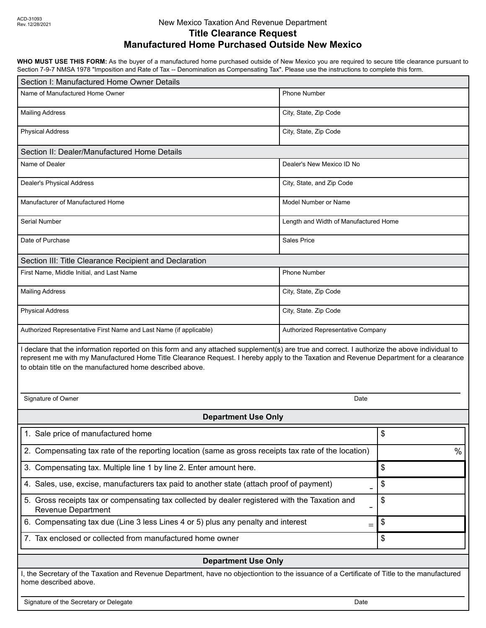# New Mexico Taxation And Revenue Department **Title Clearance Request Manufactured Home Purchased Outside New Mexico**

**WHO MUST USE THIS FORM:** As the buyer of a manufactured home purchased outside of New Mexico you are required to secure title clearance pursuant to Section 7-9-7 NMSA 1978 "Imposition and Rate of Tax -- Denomination as Compensating Tax". Please use the instructions to complete this form.

| Section I: Manufactured Home Owner Details                                                                                                                                                                                                                                                                                                          |                                       |    |  |  |  |
|-----------------------------------------------------------------------------------------------------------------------------------------------------------------------------------------------------------------------------------------------------------------------------------------------------------------------------------------------------|---------------------------------------|----|--|--|--|
| Name of Manufactured Home Owner                                                                                                                                                                                                                                                                                                                     | <b>Phone Number</b>                   |    |  |  |  |
| <b>Mailing Address</b>                                                                                                                                                                                                                                                                                                                              | City, State, Zip Code                 |    |  |  |  |
| <b>Physical Address</b>                                                                                                                                                                                                                                                                                                                             | City, State, Zip Code                 |    |  |  |  |
| Section II: Dealer/Manufactured Home Details                                                                                                                                                                                                                                                                                                        |                                       |    |  |  |  |
| Name of Dealer                                                                                                                                                                                                                                                                                                                                      | Dealer's New Mexico ID No             |    |  |  |  |
| Dealer's Physical Address                                                                                                                                                                                                                                                                                                                           | City, State, and Zip Code             |    |  |  |  |
| Manufacturer of Manufactured Home                                                                                                                                                                                                                                                                                                                   | Model Number or Name                  |    |  |  |  |
| <b>Serial Number</b>                                                                                                                                                                                                                                                                                                                                | Length and Width of Manufactured Home |    |  |  |  |
| Date of Purchase                                                                                                                                                                                                                                                                                                                                    | <b>Sales Price</b>                    |    |  |  |  |
| Section III: Title Clearance Recipient and Declaration                                                                                                                                                                                                                                                                                              |                                       |    |  |  |  |
| First Name, Middle Initial, and Last Name                                                                                                                                                                                                                                                                                                           | <b>Phone Number</b>                   |    |  |  |  |
| <b>Mailing Address</b>                                                                                                                                                                                                                                                                                                                              | City, State, Zip Code                 |    |  |  |  |
| <b>Physical Address</b>                                                                                                                                                                                                                                                                                                                             | City, State. Zip Code                 |    |  |  |  |
| Authorized Representative First Name and Last Name (if applicable)                                                                                                                                                                                                                                                                                  | Authorized Representative Company     |    |  |  |  |
| I declare that the information reported on this form and any attached supplement(s) are true and correct. I authorize the above individual to<br>represent me with my Manufactured Home Title Clearance Request. I hereby apply to the Taxation and Revenue Department for a clearance<br>to obtain title on the manufactured home described above. |                                       |    |  |  |  |
| Signature of Owner<br>Date                                                                                                                                                                                                                                                                                                                          |                                       |    |  |  |  |
| <b>Department Use Only</b>                                                                                                                                                                                                                                                                                                                          |                                       |    |  |  |  |
| 1. Sale price of manufactured home                                                                                                                                                                                                                                                                                                                  |                                       | \$ |  |  |  |
| 2. Compensating tax rate of the reporting location (same as gross receipts tax rate of the location)                                                                                                                                                                                                                                                |                                       | %  |  |  |  |
| 3. Compensating tax. Multiple line 1 by line 2. Enter amount here.                                                                                                                                                                                                                                                                                  |                                       | \$ |  |  |  |
| 4. Sales, use, excise, manufacturers tax paid to another state (attach proof of payment)                                                                                                                                                                                                                                                            |                                       | \$ |  |  |  |
| 5. Gross receipts tax or compensating tax collected by dealer registered with the Taxation and<br><b>Revenue Department</b>                                                                                                                                                                                                                         |                                       | \$ |  |  |  |
| 6. Compensating tax due (Line 3 less Lines 4 or 5) plus any penalty and interest                                                                                                                                                                                                                                                                    | \$                                    |    |  |  |  |
| 7. Tax enclosed or collected from manufactured home owner                                                                                                                                                                                                                                                                                           | \$                                    |    |  |  |  |
| <b>Department Use Only</b>                                                                                                                                                                                                                                                                                                                          |                                       |    |  |  |  |
| I, the Secretary of the Taxation and Revenue Department, have no objectiontion to the issuance of a Certificate of Title to the manufactured<br>home described above.                                                                                                                                                                               |                                       |    |  |  |  |